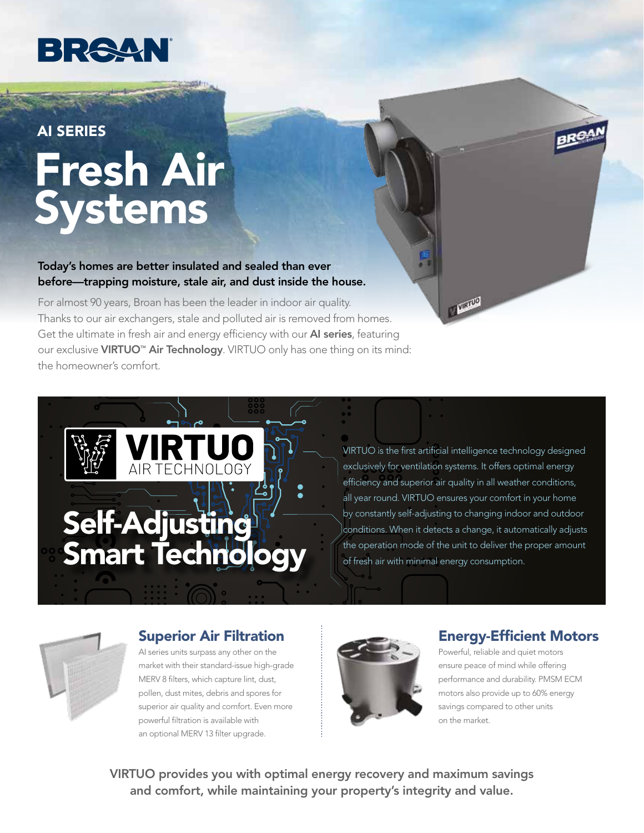

# Fresh Air Systems AI SERIES

Today's homes are better insulated and sealed than ever before—trapping moisture, stale air, and dust inside the house.

For almost 90 years, Broan has been the leader in indoor air quality. Thanks to our air exchangers, stale and polluted air is removed from homes. Get the ultimate in fresh air and energy efficiency with our **AI series**, featuring our exclusive VIRTUO<sup>™</sup> Air Technology. VIRTUO only has one thing on its mind: the homeowner's comfort.



VIRTUO is the first artificial intelligence technology designed exclusively for ventilation systems. It offers optimal energy efficiency and superior air quality in all weather conditions, all year round. VIRTUO ensures your comfort in your home by constantly self-adjusting to changing indoor and outdoor conditions. When it detects a change, it automatically adjusts the operation mode of the unit to deliver the proper amount of fresh air with minimal energy consumption.

**CALLED** 

#### Superior Air Filtration

AI series units surpass any other on the market with their standard-issue high-grade MERV 8 filters, which capture lint, dust, pollen, dust mites, debris and spores for superior air quality and comfort. Even more powerful filtration is available with an optional MERV 13 filter upgrade.



#### Energy-Efficient Motors

Powerful, reliable and quiet motors ensure peace of mind while offering performance and durability. PMSM ECM motors also provide up to 60% energy savings compared to other units on the market.

VIRTUO provides you with optimal energy recovery and maximum savings and comfort, while maintaining your property's integrity and value.